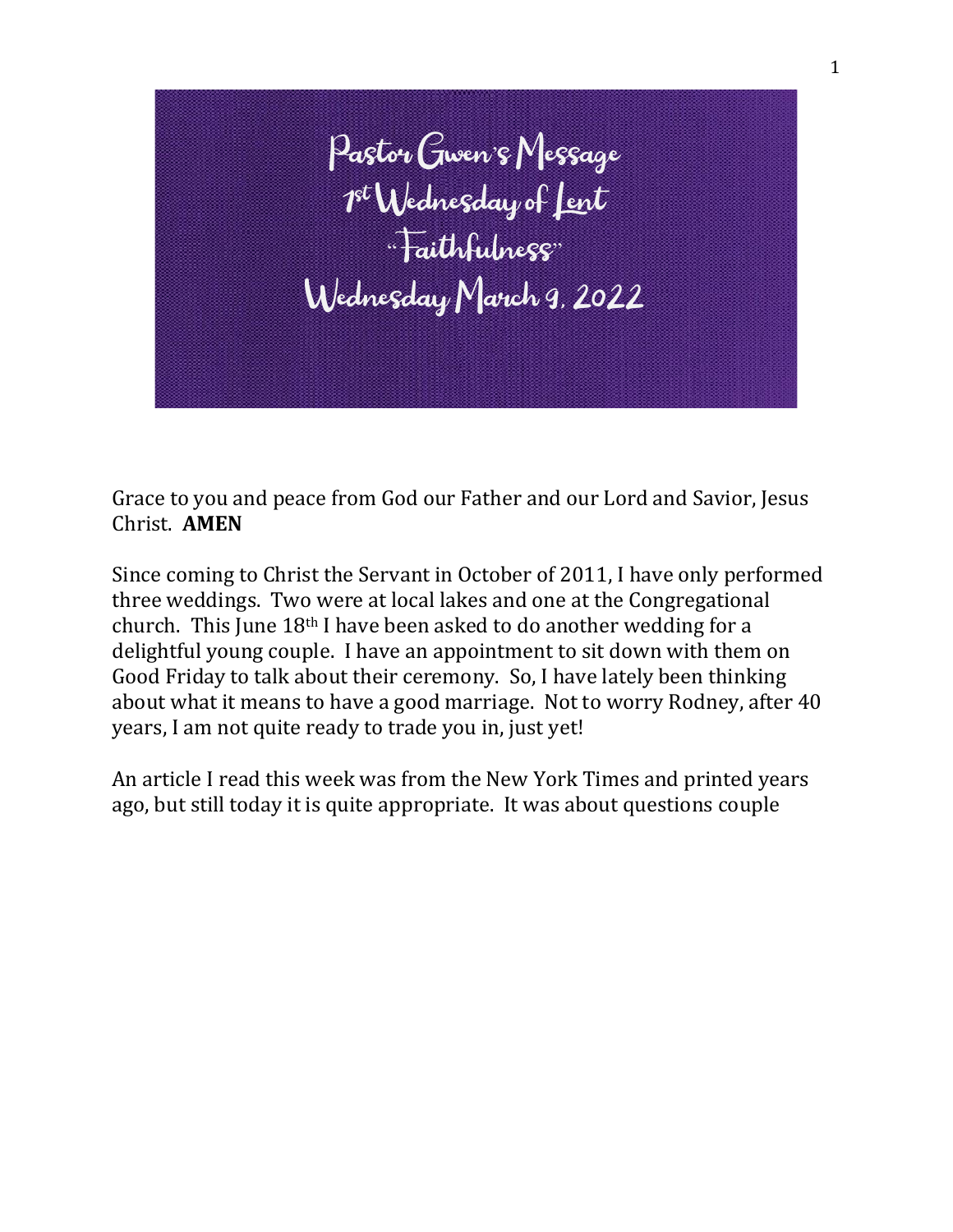

Grace to you and peace from God our Father and our Lord and Savior, Jesus Christ. **AMEN**

Since coming to Christ the Servant in October of 2011, I have only performed three weddings. Two were at local lakes and one at the Congregational church. This June 18th I have been asked to do another wedding for a delightful young couple. I have an appointment to sit down with them on Good Friday to talk about their ceremony. So, I have lately been thinking about what it means to have a good marriage. Not to worry Rodney, after 40 years, I am not quite ready to trade you in, just yet!

An article I read this week was from the New York Times and printed years ago, but still today it is quite appropriate. It was about questions couple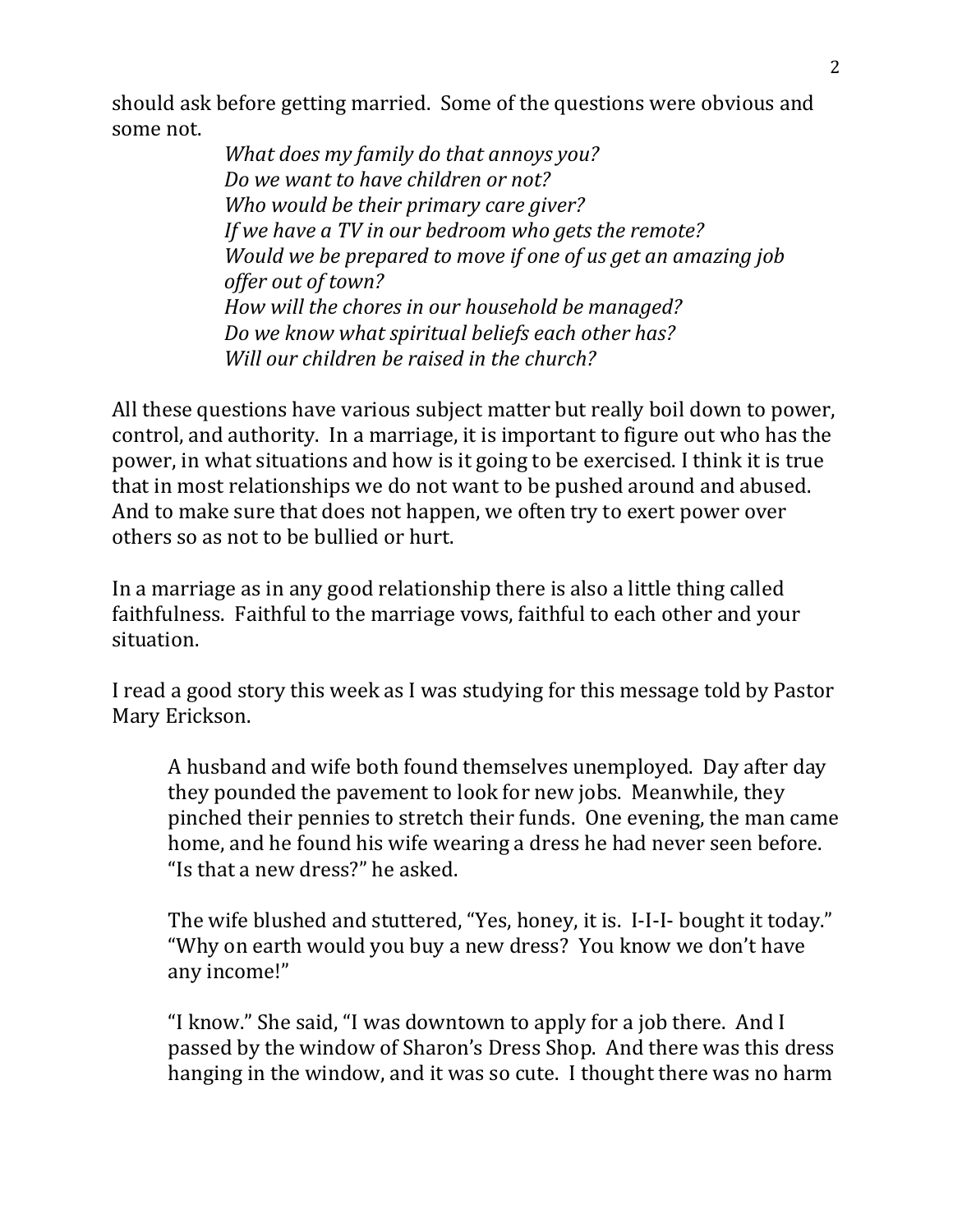should ask before getting married. Some of the questions were obvious and some not.

> *What does my family do that annoys you? Do we want to have children or not? Who would be their primary care giver? If we have a TV in our bedroom who gets the remote? Would we be prepared to move if one of us get an amazing job offer out of town? How will the chores in our household be managed? Do we know what spiritual beliefs each other has? Will our children be raised in the church?*

All these questions have various subject matter but really boil down to power, control, and authority. In a marriage, it is important to figure out who has the power, in what situations and how is it going to be exercised. I think it is true that in most relationships we do not want to be pushed around and abused. And to make sure that does not happen, we often try to exert power over others so as not to be bullied or hurt.

In a marriage as in any good relationship there is also a little thing called faithfulness. Faithful to the marriage vows, faithful to each other and your situation.

I read a good story this week as I was studying for this message told by Pastor Mary Erickson.

A husband and wife both found themselves unemployed. Day after day they pounded the pavement to look for new jobs. Meanwhile, they pinched their pennies to stretch their funds. One evening, the man came home, and he found his wife wearing a dress he had never seen before. "Is that a new dress?" he asked.

The wife blushed and stuttered, "Yes, honey, it is. I-I-I- bought it today." "Why on earth would you buy a new dress? You know we don't have any income!"

"I know." She said, "I was downtown to apply for a job there. And I passed by the window of Sharon's Dress Shop. And there was this dress hanging in the window, and it was so cute. I thought there was no harm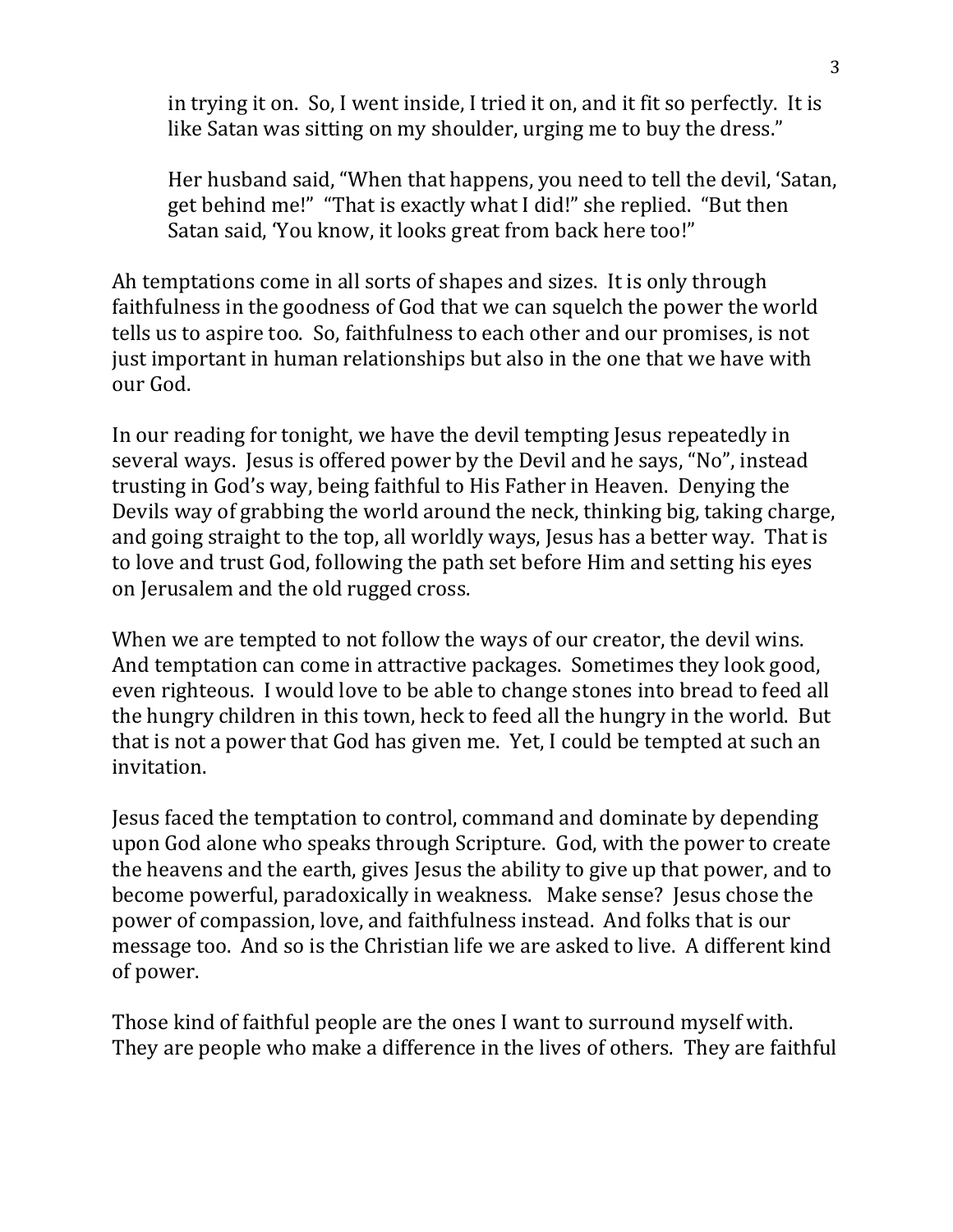in trying it on. So, I went inside, I tried it on, and it fit so perfectly. It is like Satan was sitting on my shoulder, urging me to buy the dress."

Her husband said, "When that happens, you need to tell the devil, 'Satan, get behind me!" "That is exactly what I did!" she replied. "But then Satan said, 'You know, it looks great from back here too!"

Ah temptations come in all sorts of shapes and sizes. It is only through faithfulness in the goodness of God that we can squelch the power the world tells us to aspire too. So, faithfulness to each other and our promises, is not just important in human relationships but also in the one that we have with our God.

In our reading for tonight, we have the devil tempting Jesus repeatedly in several ways. Jesus is offered power by the Devil and he says, "No", instead trusting in God's way, being faithful to His Father in Heaven. Denying the Devils way of grabbing the world around the neck, thinking big, taking charge, and going straight to the top, all worldly ways, Jesus has a better way. That is to love and trust God, following the path set before Him and setting his eyes on Jerusalem and the old rugged cross.

When we are tempted to not follow the ways of our creator, the devil wins. And temptation can come in attractive packages. Sometimes they look good, even righteous. I would love to be able to change stones into bread to feed all the hungry children in this town, heck to feed all the hungry in the world. But that is not a power that God has given me. Yet, I could be tempted at such an invitation.

Jesus faced the temptation to control, command and dominate by depending upon God alone who speaks through Scripture. God, with the power to create the heavens and the earth, gives Jesus the ability to give up that power, and to become powerful, paradoxically in weakness. Make sense? Jesus chose the power of compassion, love, and faithfulness instead. And folks that is our message too. And so is the Christian life we are asked to live. A different kind of power.

Those kind of faithful people are the ones I want to surround myself with. They are people who make a difference in the lives of others. They are faithful